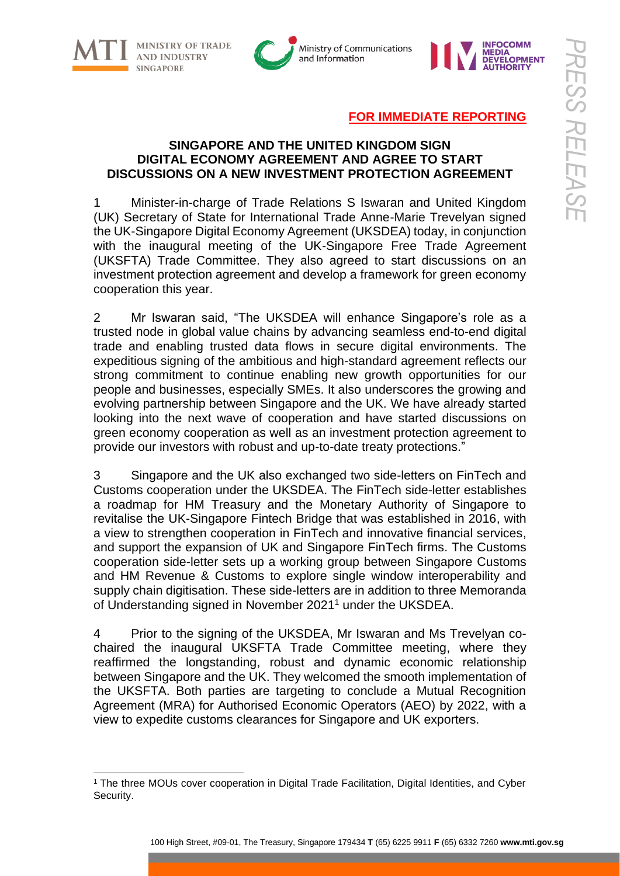



### **FOR IMMEDIATE REPORTING**

#### **SINGAPORE AND THE UNITED KINGDOM SIGN DIGITAL ECONOMY AGREEMENT AND AGREE TO START DISCUSSIONS ON A NEW INVESTMENT PROTECTION AGREEMENT**

1 Minister-in-charge of Trade Relations S Iswaran and United Kingdom (UK) Secretary of State for International Trade Anne-Marie Trevelyan signed the UK-Singapore Digital Economy Agreement (UKSDEA) today, in conjunction with the inaugural meeting of the UK-Singapore Free Trade Agreement (UKSFTA) Trade Committee. They also agreed to start discussions on an investment protection agreement and develop a framework for green economy cooperation this year.

2 Mr Iswaran said, "The UKSDEA will enhance Singapore's role as a trusted node in global value chains by advancing seamless end-to-end digital trade and enabling trusted data flows in secure digital environments. The expeditious signing of the ambitious and high-standard agreement reflects our strong commitment to continue enabling new growth opportunities for our people and businesses, especially SMEs. It also underscores the growing and evolving partnership between Singapore and the UK. We have already started looking into the next wave of cooperation and have started discussions on green economy cooperation as well as an investment protection agreement to provide our investors with robust and up-to-date treaty protections."

3 Singapore and the UK also exchanged two side-letters on FinTech and Customs cooperation under the UKSDEA. The FinTech side-letter establishes a roadmap for HM Treasury and the Monetary Authority of Singapore to revitalise the UK-Singapore Fintech Bridge that was established in 2016, with a view to strengthen cooperation in FinTech and innovative financial services, and support the expansion of UK and Singapore FinTech firms. The Customs cooperation side-letter sets up a working group between Singapore Customs and HM Revenue & Customs to explore single window interoperability and supply chain digitisation. These side-letters are in addition to three Memoranda of Understanding signed in November 2021 <sup>1</sup> under the UKSDEA.

4 Prior to the signing of the UKSDEA, Mr Iswaran and Ms Trevelyan cochaired the inaugural UKSFTA Trade Committee meeting, where they reaffirmed the longstanding, robust and dynamic economic relationship between Singapore and the UK. They welcomed the smooth implementation of the UKSFTA. Both parties are targeting to conclude a Mutual Recognition Agreement (MRA) for Authorised Economic Operators (AEO) by 2022, with a view to expedite customs clearances for Singapore and UK exporters.

<sup>1</sup> The three MOUs cover cooperation in Digital Trade Facilitation, Digital Identities, and Cyber Security.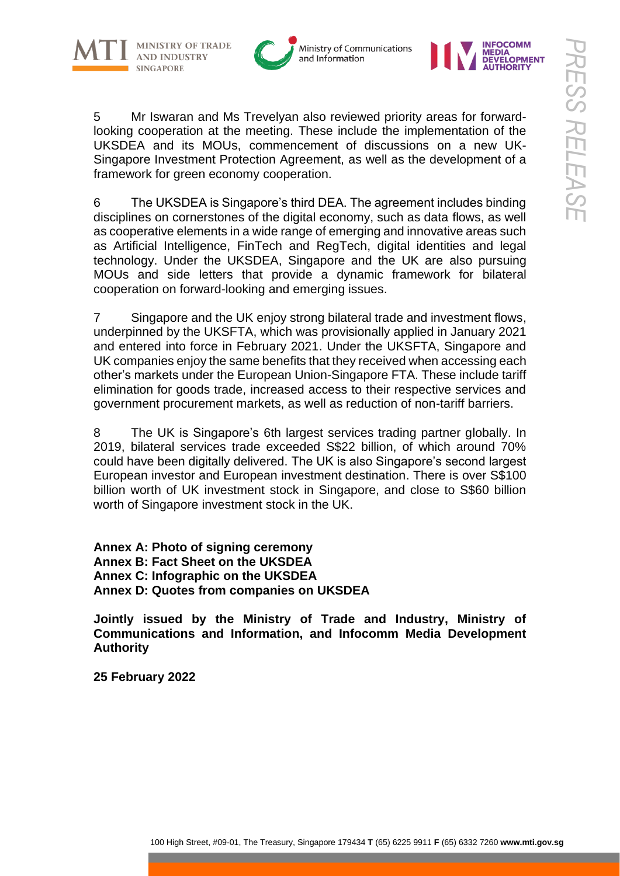







5 Mr Iswaran and Ms Trevelyan also reviewed priority areas for forwardlooking cooperation at the meeting. These include the implementation of the UKSDEA and its MOUs, commencement of discussions on a new UK-Singapore Investment Protection Agreement, as well as the development of a framework for green economy cooperation.

6 The UKSDEA is Singapore's third DEA. The agreement includes binding disciplines on cornerstones of the digital economy, such as data flows, as well as cooperative elements in a wide range of emerging and innovative areas such as Artificial Intelligence, FinTech and RegTech, digital identities and legal technology. Under the UKSDEA, Singapore and the UK are also pursuing MOUs and side letters that provide a dynamic framework for bilateral cooperation on forward-looking and emerging issues.

7 Singapore and the UK enjoy strong bilateral trade and investment flows, underpinned by the UKSFTA, which was provisionally applied in January 2021 and entered into force in February 2021. Under the UKSFTA, Singapore and UK companies enjoy the same benefits that they received when accessing each other's markets under the European Union-Singapore FTA. These include tariff elimination for goods trade, increased access to their respective services and government procurement markets, as well as reduction of non-tariff barriers.

8 The UK is Singapore's 6th largest services trading partner globally. In 2019, bilateral services trade exceeded S\$22 billion, of which around 70% could have been digitally delivered. The UK is also Singapore's second largest European investor and European investment destination. There is over S\$100 billion worth of UK investment stock in Singapore, and close to S\$60 billion worth of Singapore investment stock in the UK.

**Annex A: Photo of signing ceremony Annex B: Fact Sheet on the UKSDEA Annex C: Infographic on the UKSDEA Annex D: Quotes from companies on UKSDEA**

**Jointly issued by the Ministry of Trade and Industry, Ministry of Communications and Information, and Infocomm Media Development Authority** 

**25 February 2022**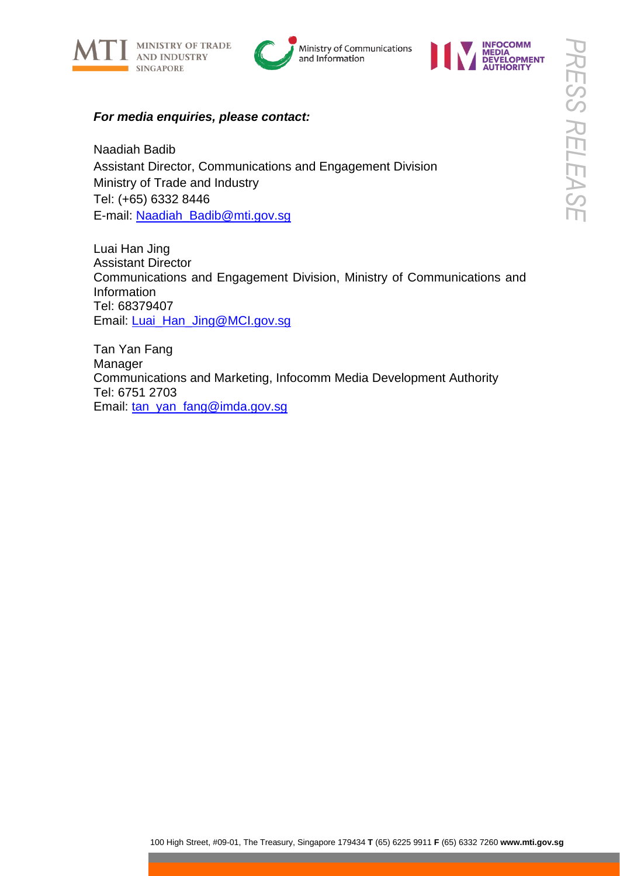





### *For media enquiries, please contact:*

Naadiah Badib Assistant Director, Communications and Engagement Division Ministry of Trade and Industry Tel: (+65) 6332 8446 E-mail: [Naadiah\\_Badib@mti.gov.sg](mailto:Naadiah_Badib@mti.gov.sg)

Luai Han Jing Assistant Director Communications and Engagement Division, Ministry of Communications and Information Tel: 68379407 Email: [Luai\\_Han\\_Jing@MCI.gov.sg](mailto:Luai_Han_Jing@MCI.gov.sg)

Tan Yan Fang Manager Communications and Marketing, Infocomm Media Development Authority Tel: 6751 2703 Email: [tan\\_yan\\_fang@imda.gov.sg](mailto:tan_yan_fang@imda.gov.sg)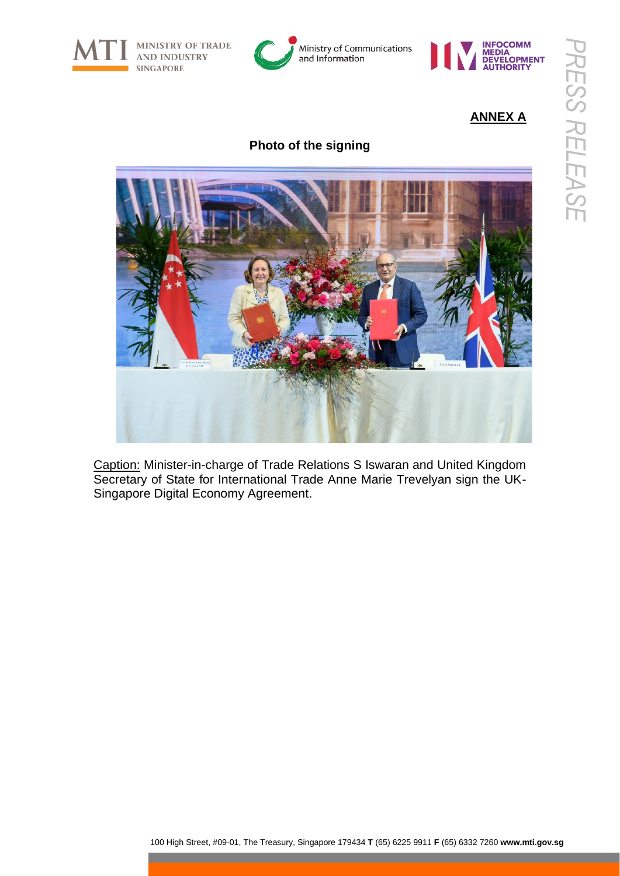

MINISTRY OF TRADE **AND INDUSTRY** 





# **ANNEX A**

## **Photo of the signing**



Caption: Minister-in-charge of Trade Relations S Iswaran and United Kingdom Secretary of State for International Trade Anne Marie Trevelyan sign the UK-Singapore Digital Economy Agreement.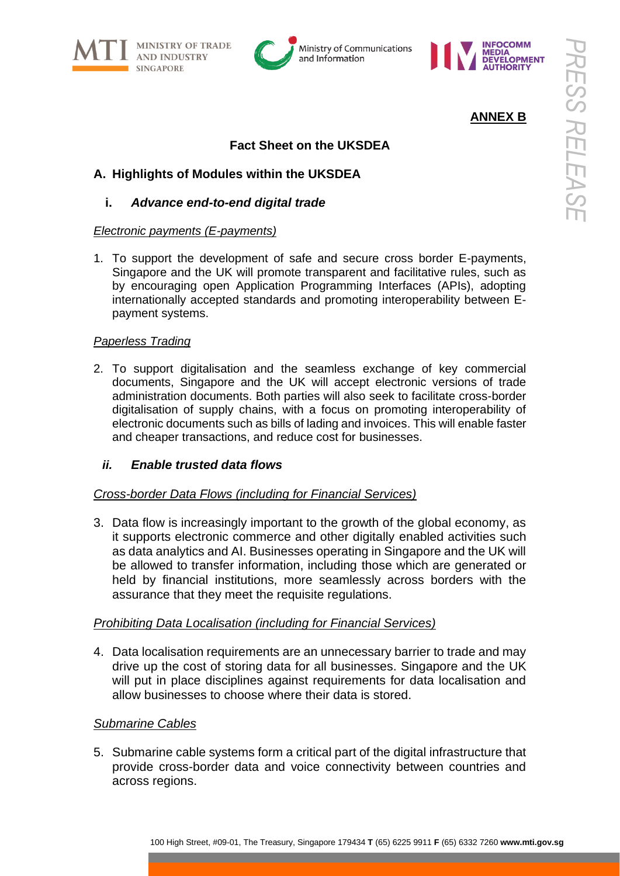





### **ANNEX B**

### **Fact Sheet on the UKSDEA**

### **A. Highlights of Modules within the UKSDEA**

#### **i.** *Advance end-to-end digital trade*

#### *Electronic payments (E-payments)*

1. To support the development of safe and secure cross border E-payments, Singapore and the UK will promote transparent and facilitative rules, such as by encouraging open Application Programming Interfaces (APIs), adopting internationally accepted standards and promoting interoperability between Epayment systems.

#### *Paperless Trading*

2. To support digitalisation and the seamless exchange of key commercial documents, Singapore and the UK will accept electronic versions of trade administration documents. Both parties will also seek to facilitate cross-border digitalisation of supply chains, with a focus on promoting interoperability of electronic documents such as bills of lading and invoices. This will enable faster and cheaper transactions, and reduce cost for businesses.

#### *ii. Enable trusted data flows*

#### *Cross-border Data Flows (including for Financial Services)*

3. Data flow is increasingly important to the growth of the global economy, as it supports electronic commerce and other digitally enabled activities such as data analytics and AI. Businesses operating in Singapore and the UK will be allowed to transfer information, including those which are generated or held by financial institutions, more seamlessly across borders with the assurance that they meet the requisite regulations.

#### *Prohibiting Data Localisation (including for Financial Services)*

4. Data localisation requirements are an unnecessary barrier to trade and may drive up the cost of storing data for all businesses. Singapore and the UK will put in place disciplines against requirements for data localisation and allow businesses to choose where their data is stored.

#### *Submarine Cables*

5. Submarine cable systems form a critical part of the digital infrastructure that provide cross-border data and voice connectivity between countries and across regions.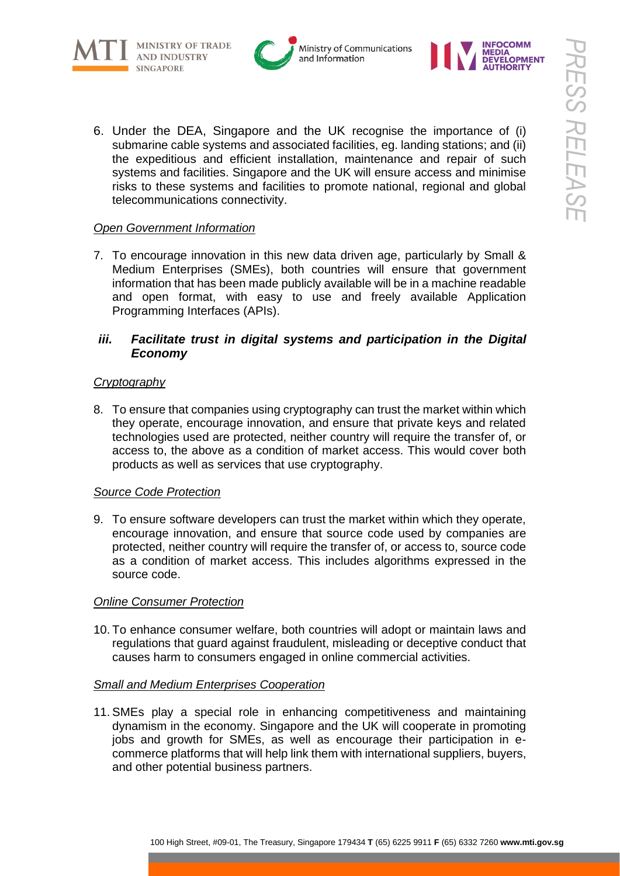





6. Under the DEA, Singapore and the UK recognise the importance of (i) submarine cable systems and associated facilities, eg. landing stations; and (ii) the expeditious and efficient installation, maintenance and repair of such systems and facilities. Singapore and the UK will ensure access and minimise risks to these systems and facilities to promote national, regional and global telecommunications connectivity.

### *Open Government Information*

7. To encourage innovation in this new data driven age, particularly by Small & Medium Enterprises (SMEs), both countries will ensure that government information that has been made publicly available will be in a machine readable and open format, with easy to use and freely available Application Programming Interfaces (APIs).

### *iii. Facilitate trust in digital systems and participation in the Digital Economy*

#### *Cryptography*

8. To ensure that companies using cryptography can trust the market within which they operate, encourage innovation, and ensure that private keys and related technologies used are protected, neither country will require the transfer of, or access to, the above as a condition of market access. This would cover both products as well as services that use cryptography.

#### *Source Code Protection*

9. To ensure software developers can trust the market within which they operate, encourage innovation, and ensure that source code used by companies are protected, neither country will require the transfer of, or access to, source code as a condition of market access. This includes algorithms expressed in the source code.

#### *Online Consumer Protection*

10. To enhance consumer welfare, both countries will adopt or maintain laws and regulations that guard against fraudulent, misleading or deceptive conduct that causes harm to consumers engaged in online commercial activities.

#### *Small and Medium Enterprises Cooperation*

11. SMEs play a special role in enhancing competitiveness and maintaining dynamism in the economy. Singapore and the UK will cooperate in promoting jobs and growth for SMEs, as well as encourage their participation in ecommerce platforms that will help link them with international suppliers, buyers, and other potential business partners.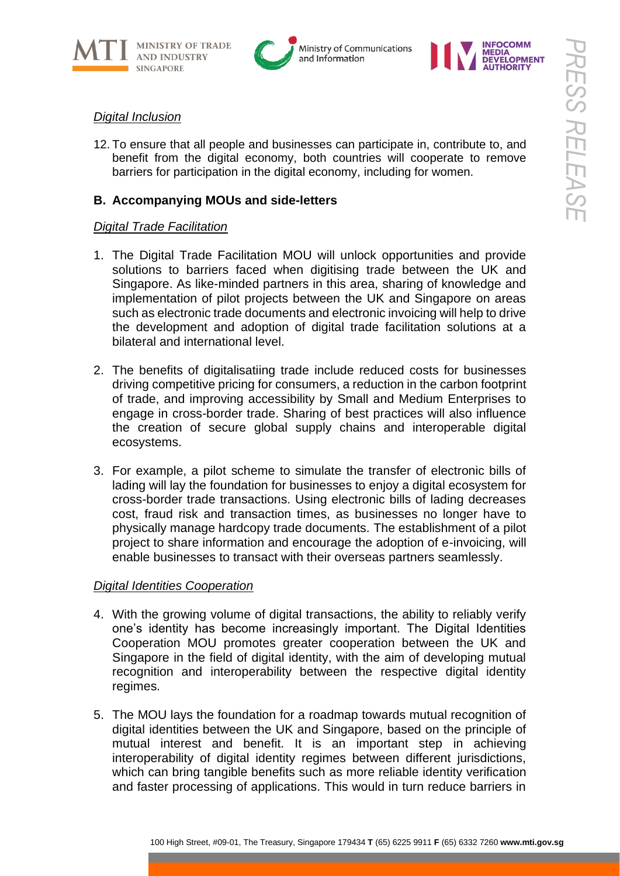





#### *Digital Inclusion*

12. To ensure that all people and businesses can participate in, contribute to, and benefit from the digital economy, both countries will cooperate to remove barriers for participation in the digital economy, including for women.

### **B. Accompanying MOUs and side-letters**

#### *Digital Trade Facilitation*

- 1. The Digital Trade Facilitation MOU will unlock opportunities and provide solutions to barriers faced when digitising trade between the UK and Singapore. As like-minded partners in this area, sharing of knowledge and implementation of pilot projects between the UK and Singapore on areas such as electronic trade documents and electronic invoicing will help to drive the development and adoption of digital trade facilitation solutions at a bilateral and international level.
- 2. The benefits of digitalisatiing trade include reduced costs for businesses driving competitive pricing for consumers, a reduction in the carbon footprint of trade, and improving accessibility by Small and Medium Enterprises to engage in cross-border trade. Sharing of best practices will also influence the creation of secure global supply chains and interoperable digital ecosystems.
- 3. For example, a pilot scheme to simulate the transfer of electronic bills of lading will lay the foundation for businesses to enjoy a digital ecosystem for cross-border trade transactions. Using electronic bills of lading decreases cost, fraud risk and transaction times, as businesses no longer have to physically manage hardcopy trade documents. The establishment of a pilot project to share information and encourage the adoption of e-invoicing, will enable businesses to transact with their overseas partners seamlessly.

#### *Digital Identities Cooperation*

- 4. With the growing volume of digital transactions, the ability to reliably verify one's identity has become increasingly important. The Digital Identities Cooperation MOU promotes greater cooperation between the UK and Singapore in the field of digital identity, with the aim of developing mutual recognition and interoperability between the respective digital identity regimes.
- 5. The MOU lays the foundation for a roadmap towards mutual recognition of digital identities between the UK and Singapore, based on the principle of mutual interest and benefit. It is an important step in achieving interoperability of digital identity regimes between different jurisdictions, which can bring tangible benefits such as more reliable identity verification and faster processing of applications. This would in turn reduce barriers in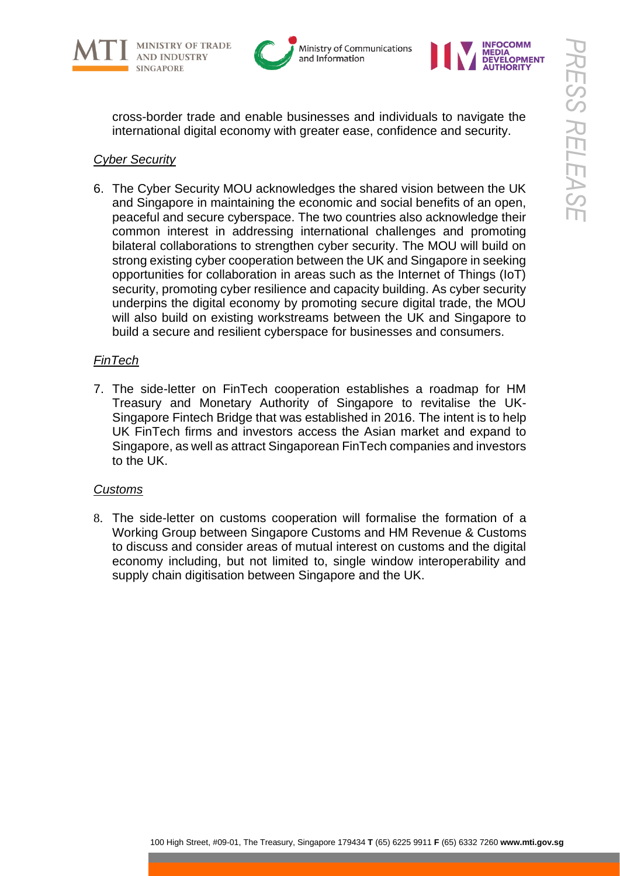







cross-border trade and enable businesses and individuals to navigate the international digital economy with greater ease, confidence and security.

### *Cyber Security*

6. The Cyber Security MOU acknowledges the shared vision between the UK and Singapore in maintaining the economic and social benefits of an open, peaceful and secure cyberspace. The two countries also acknowledge their common interest in addressing international challenges and promoting bilateral collaborations to strengthen cyber security. The MOU will build on strong existing cyber cooperation between the UK and Singapore in seeking opportunities for collaboration in areas such as the Internet of Things (IoT) security, promoting cyber resilience and capacity building. As cyber security underpins the digital economy by promoting secure digital trade, the MOU will also build on existing workstreams between the UK and Singapore to build a secure and resilient cyberspace for businesses and consumers.

### *FinTech*

7. The side-letter on FinTech cooperation establishes a roadmap for HM Treasury and Monetary Authority of Singapore to revitalise the UK-Singapore Fintech Bridge that was established in 2016. The intent is to help UK FinTech firms and investors access the Asian market and expand to Singapore, as well as attract Singaporean FinTech companies and investors to the UK.

### *Customs*

8. The side-letter on customs cooperation will formalise the formation of a Working Group between Singapore Customs and HM Revenue & Customs to discuss and consider areas of mutual interest on customs and the digital economy including, but not limited to, single window interoperability and supply chain digitisation between Singapore and the UK.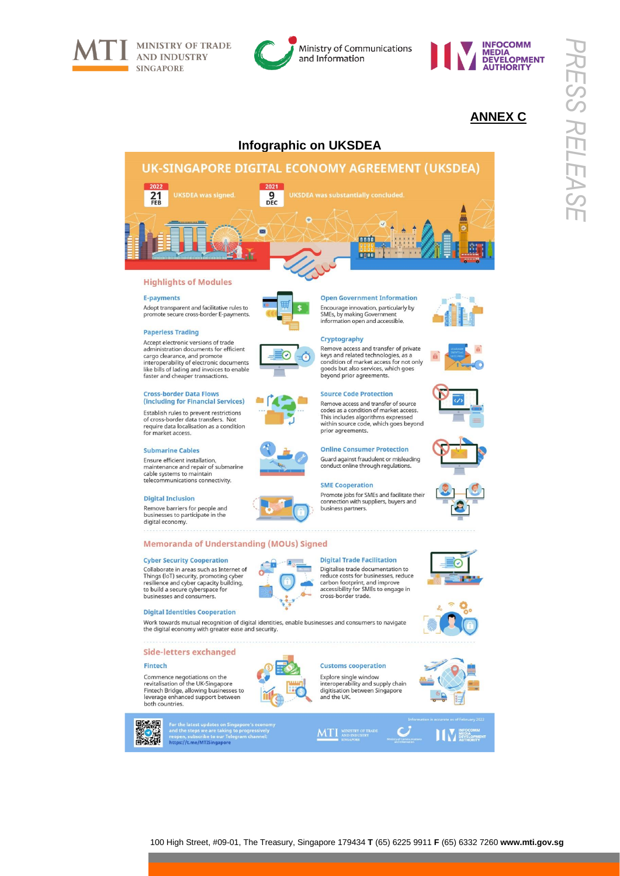



## **ANNEX C**



#### **Highlights of Modules**

#### **E-payments**

Adopt transparent and facilitative rules to promote secure cross-border E-payments.



Accept electronic versions of trade Administration documents for efficient<br>cargo clearance, and promote<br>interoperability of electronic documents like bills of lading and invoices to enable<br>faster and cheaper transactions.

#### **Cross-border Data Flows** (including for Financial Services)

Establish rules to prevent restrictions of cross-border data transfers. Not<br>require data localisation as a condition for market access.

#### **Submarine Cables**

Ensure efficient installation maintenance and repair of submarine cable systems to maintain telecommunications connectivity

#### **Digital Inclusion**

Remove barriers for people and businesses to participate in the digital economy.



Memoranda of Understanding (MOUs) Signed

#### **Cyber Security Cooperation**

Collaborate in areas such as Internet of Things (IoT) security, promoting cyber<br>resilience and cyber capacity building,<br>to build a secure cyberspace for businesses and consumers.

#### **Digital Identities Cooperation**

Work towards mutual recognition of digital identities, enable businesses and consumers to navigate the digital economy with greater ease and security.

#### **Side-letters exchanged**

#### Fintech

ありば<br>日本研

Commence negotiations on the<br>revitalisation of the UK-Singapore Fintech Bridge, allowing businesses to<br>leverage enhanced support between<br>both countries.



For the latest updates on Singapore's economiand the steps we are taking to progressively reopen, subscribe to our Telegram channel:<br>https://t.me/MTISingapore





#### Cryptography

Remove access and transfer of private keys and related technologies, as a<br>condition of market access for not only<br>goods but also services, which goes beyond prior agreements.

#### **Source Code Protection**

Remove access and transfer of source codes as a condition of market access.<br>This includes algorithms expressed<br>within source code, which goes beyond prior agreements.

**Online Consumer Protection** Guard against fraudulent or misleading conduct online through regulations.

#### **SME Cooperation**

Promote jobs for SMEs and facilitate their connection with suppliers, buyers and business partners.



**Customs cooperation** Explore single window<br>interoperability and supply chain

Digitalise trade documentation to<br>reduce costs for businesses, reduce carbon footprint, and improve<br>accessibility for SMEs to engage in<br>cross-border trade.







**EXAMPLE DEVELOPMENT** 

*PRESS RELEASE*

**RESS RELEASI** 







 $(\check{\phantom{a}})$  $=\bullet$ 

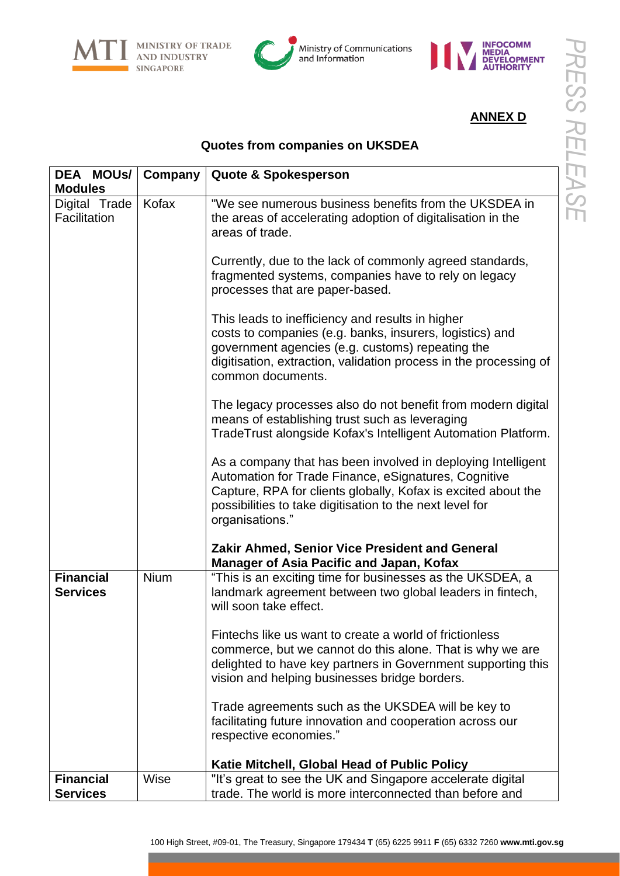





# **ANNEX D**

### **Quotes from companies on UKSDEA**

| DEA MOUS/                           | Company | <b>Quote &amp; Spokesperson</b>                                                                                                                                                                                                                                      |
|-------------------------------------|---------|----------------------------------------------------------------------------------------------------------------------------------------------------------------------------------------------------------------------------------------------------------------------|
| <b>Modules</b>                      |         |                                                                                                                                                                                                                                                                      |
| Digital Trade<br>Facilitation       | Kofax   | "We see numerous business benefits from the UKSDEA in<br>the areas of accelerating adoption of digitalisation in the<br>areas of trade.                                                                                                                              |
|                                     |         | Currently, due to the lack of commonly agreed standards,<br>fragmented systems, companies have to rely on legacy<br>processes that are paper-based.                                                                                                                  |
|                                     |         | This leads to inefficiency and results in higher<br>costs to companies (e.g. banks, insurers, logistics) and<br>government agencies (e.g. customs) repeating the<br>digitisation, extraction, validation process in the processing of<br>common documents.           |
|                                     |         | The legacy processes also do not benefit from modern digital<br>means of establishing trust such as leveraging<br>TradeTrust alongside Kofax's Intelligent Automation Platform.                                                                                      |
|                                     |         | As a company that has been involved in deploying Intelligent<br>Automation for Trade Finance, eSignatures, Cognitive<br>Capture, RPA for clients globally, Kofax is excited about the<br>possibilities to take digitisation to the next level for<br>organisations." |
|                                     |         | <b>Zakir Ahmed, Senior Vice President and General</b><br><b>Manager of Asia Pacific and Japan, Kofax</b>                                                                                                                                                             |
| <b>Financial</b><br><b>Services</b> | Nium    | "This is an exciting time for businesses as the UKSDEA, a<br>landmark agreement between two global leaders in fintech,<br>will soon take effect.                                                                                                                     |
|                                     |         | Fintechs like us want to create a world of frictionless<br>commerce, but we cannot do this alone. That is why we are<br>delighted to have key partners in Government supporting this<br>vision and helping businesses bridge borders.                                |
|                                     |         | Trade agreements such as the UKSDEA will be key to<br>facilitating future innovation and cooperation across our<br>respective economies."                                                                                                                            |
|                                     |         | Katie Mitchell, Global Head of Public Policy                                                                                                                                                                                                                         |
| <b>Financial</b><br><b>Services</b> | Wise    | "It's great to see the UK and Singapore accelerate digital<br>trade. The world is more interconnected than before and                                                                                                                                                |
|                                     |         |                                                                                                                                                                                                                                                                      |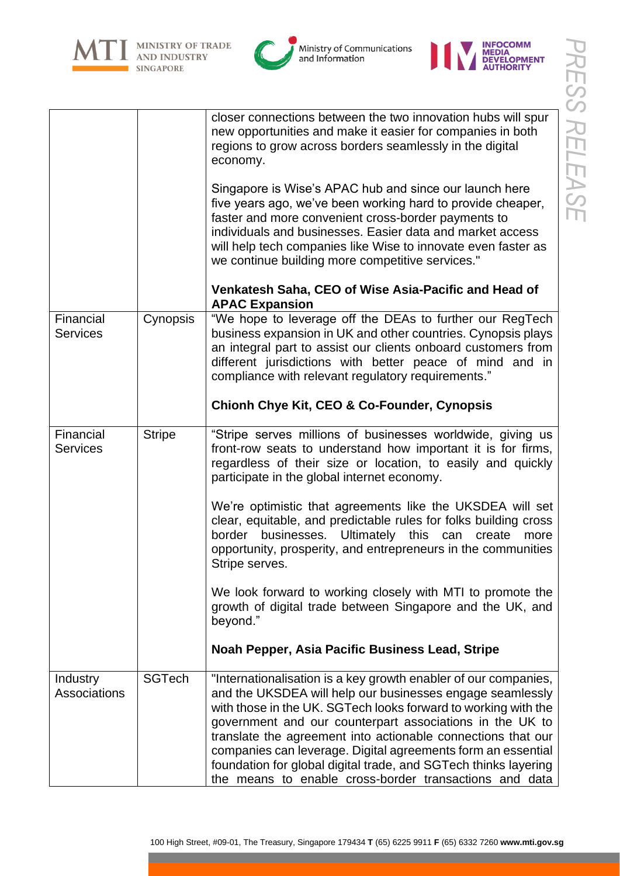







closer connections between the two innovation hubs will spur new opportunities and make it easier for companies in both regions to grow across borders seamlessly in the digital



| economy.                                                      |
|---------------------------------------------------------------|
| Singapore is Wise's APAC hub and since our launch here        |
| five years ago, we've been working hard to provide cheaper,   |
| faster and more convenient cross-border payments to           |
| individuals and businesses. Easier data and market access     |
| will help tech companies like Wise to innovate even faster as |

|          | we continue building more competitive services."                                                                         |
|----------|--------------------------------------------------------------------------------------------------------------------------|
|          | Venkatesh Saha, CEO of Wise Asia-Pacific and Head of<br><b>APAC Expansion</b>                                            |
| Cynopsis | "We hope to leverage off the DEAs to further our RegTech<br>business expansion in UK and other countries. Cynopsis plays |

| Financial       | Cynopsis   "We hope to leverage off the DEAs to further our RegTech                                                           |
|-----------------|-------------------------------------------------------------------------------------------------------------------------------|
| <b>Services</b> | business expansion in UK and other countries. Cynopsis plays<br>an integral part to assist our clients onboard customers from |
|                 | different jurisdictions with better peace of mind and in<br>compliance with relevant regulatory requirements."                |

# **Chionh Chye Kit, CEO & Co-Founder, Cynopsis**

| Financial<br><b>Services</b> | Stripe | "Stripe serves millions of businesses worldwide, giving us<br>front-row seats to understand how important it is for firms,<br>regardless of their size or location, to easily and quickly<br>participate in the global internet economy. |
|------------------------------|--------|------------------------------------------------------------------------------------------------------------------------------------------------------------------------------------------------------------------------------------------|
|                              |        | We're optimistic that agreements like the UKSDEA will set                                                                                                                                                                                |

We're optimistic that agreements like the UKSDEA will set clear, equitable, and predictable rules for folks building cross border businesses. Ultimately this can create more opportunity, prosperity, and entrepreneurs in the communities Stripe serves.

We look forward to working closely with MTI to promote the growth of digital trade between Singapore and the UK, and beyond."

|  |  | Noah Pepper, Asia Pacific Business Lead, Stripe |  |
|--|--|-------------------------------------------------|--|
|  |  |                                                 |  |

| Industry<br><b>Associations</b> | <b>SGTech</b> | "Internationalisation is a key growth enabler of our companies,<br>and the UKSDEA will help our businesses engage seamlessly<br>with those in the UK. SGTech looks forward to working with the<br>government and our counterpart associations in the UK to<br>translate the agreement into actionable connections that our<br>companies can leverage. Digital agreements form an essential<br>foundation for global digital trade, and SGTech thinks layering<br>the means to enable cross-border transactions and data |
|---------------------------------|---------------|-------------------------------------------------------------------------------------------------------------------------------------------------------------------------------------------------------------------------------------------------------------------------------------------------------------------------------------------------------------------------------------------------------------------------------------------------------------------------------------------------------------------------|